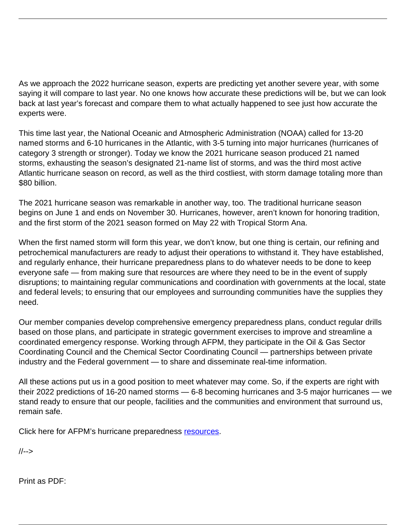As we approach the 2022 hurricane season, experts are predicting yet another severe year, with some saying it will compare to last year. No one knows how accurate these predictions will be, but we can look back at last year's forecast and compare them to what actually happened to see just how accurate the experts were.

This time last year, the National Oceanic and Atmospheric Administration (NOAA) called for 13-20 named storms and 6-10 hurricanes in the Atlantic, with 3-5 turning into major hurricanes (hurricanes of category 3 strength or stronger). Today we know the 2021 hurricane season produced 21 named storms, exhausting the season's designated 21-name list of storms, and was the third most active Atlantic hurricane season on record, as well as the third costliest, with storm damage totaling more than \$80 billion.

The 2021 hurricane season was remarkable in another way, too. The traditional hurricane season begins on June 1 and ends on November 30. Hurricanes, however, aren't known for honoring tradition, and the first storm of the 2021 season formed on May 22 with Tropical Storm Ana.

When the first named storm will form this year, we don't know, but one thing is certain, our refining and petrochemical manufacturers are ready to adjust their operations to withstand it. They have established, and regularly enhance, their hurricane preparedness plans to do whatever needs to be done to keep everyone safe — from making sure that resources are where they need to be in the event of supply disruptions; to maintaining regular communications and coordination with governments at the local, state and federal levels; to ensuring that our employees and surrounding communities have the supplies they need.

Our member companies develop comprehensive emergency preparedness plans, conduct regular drills based on those plans, and participate in strategic government exercises to improve and streamline a coordinated emergency response. Working through AFPM, they participate in the Oil & Gas Sector Coordinating Council and the Chemical Sector Coordinating Council — partnerships between private industry and the Federal government — to share and disseminate real-time information.

All these actions put us in a good position to meet whatever may come. So, if the experts are right with their 2022 predictions of 16-20 named storms — 6-8 becoming hurricanes and 3-5 major hurricanes — we stand ready to ensure that our people, facilities and the communities and environment that surround us, remain safe.

Click here for AFPM's hurricane preparedness [resources](https://www.afpm.org/industries/performance/hurricane-preparedness/preparing-disruption).

//-->

Print as PDF: